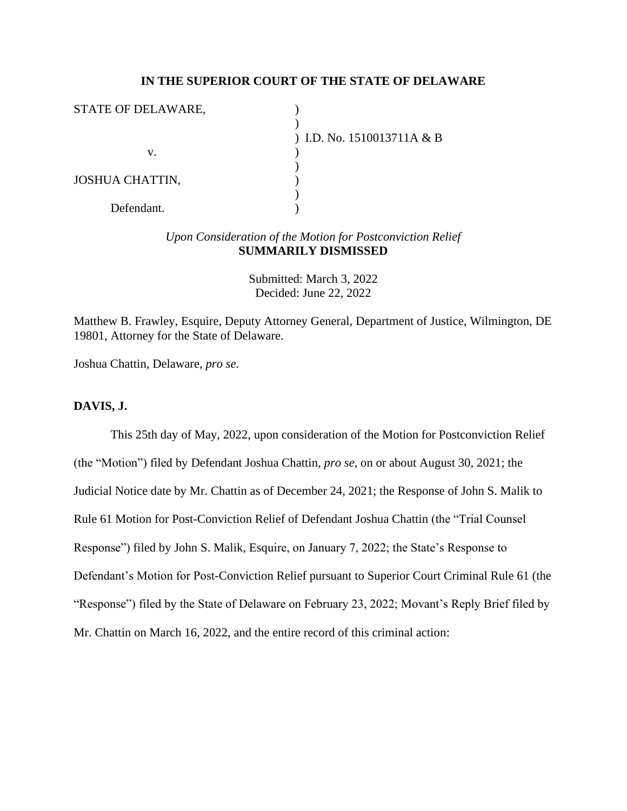### **IN THE SUPERIOR COURT OF THE STATE OF DELAWARE**

| STATE OF DELAWARE,     |                              |
|------------------------|------------------------------|
|                        |                              |
|                        | ) I.D. No. $1510013711A & B$ |
| v.                     |                              |
|                        |                              |
| <b>JOSHUA CHATTIN,</b> |                              |
|                        |                              |
| Defendant.             |                              |

## *Upon Consideration of the Motion for Postconviction Relief* **SUMMARILY DISMISSED**

Submitted: March 3, 2022 Decided: June 22, 2022

Matthew B. Frawley, Esquire, Deputy Attorney General, Department of Justice, Wilmington, DE 19801, Attorney for the State of Delaware.

Joshua Chattin, Delaware, *pro se*.

### **DAVIS, J.**

This 25th day of May, 2022, upon consideration of the Motion for Postconviction Relief (the "Motion") filed by Defendant Joshua Chattin, *pro se*, on or about August 30, 2021; the Judicial Notice date by Mr. Chattin as of December 24, 2021; the Response of John S. Malik to Rule 61 Motion for Post-Conviction Relief of Defendant Joshua Chattin (the "Trial Counsel Response") filed by John S. Malik, Esquire, on January 7, 2022; the State's Response to Defendant's Motion for Post-Conviction Relief pursuant to Superior Court Criminal Rule 61 (the "Response") filed by the State of Delaware on February 23, 2022; Movant's Reply Brief filed by Mr. Chattin on March 16, 2022, and the entire record of this criminal action: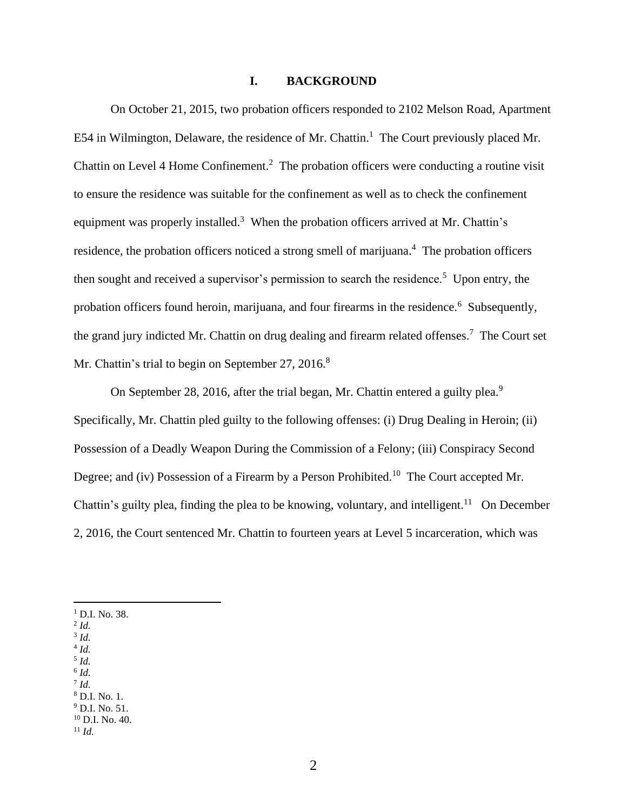#### **I. BACKGROUND**

On October 21, 2015, two probation officers responded to 2102 Melson Road, Apartment E54 in Wilmington, Delaware, the residence of Mr. Chattin.<sup>1</sup> The Court previously placed Mr. Chattin on Level 4 Home Confinement.<sup>2</sup> The probation officers were conducting a routine visit to ensure the residence was suitable for the confinement as well as to check the confinement equipment was properly installed.<sup>3</sup> When the probation officers arrived at Mr. Chattin's residence, the probation officers noticed a strong smell of marijuana.<sup>4</sup> The probation officers then sought and received a supervisor's permission to search the residence.<sup>5</sup> Upon entry, the probation officers found heroin, marijuana, and four firearms in the residence.<sup>6</sup> Subsequently, the grand jury indicted Mr. Chattin on drug dealing and firearm related offenses.<sup>7</sup> The Court set Mr. Chattin's trial to begin on September 27, 2016.<sup>8</sup>

On September 28, 2016, after the trial began, Mr. Chattin entered a guilty plea.<sup>9</sup> Specifically, Mr. Chattin pled guilty to the following offenses: (i) Drug Dealing in Heroin; (ii) Possession of a Deadly Weapon During the Commission of a Felony; (iii) Conspiracy Second Degree; and (iv) Possession of a Firearm by a Person Prohibited.<sup>10</sup> The Court accepted Mr. Chattin's guilty plea, finding the plea to be knowing, voluntary, and intelligent.<sup>11</sup> On December 2, 2016, the Court sentenced Mr. Chattin to fourteen years at Level 5 incarceration, which was

- <sup>1</sup> D.I. No. 38.
- 2 *Id.*
- 3 *Id.*
- 4 *Id.* 5 *Id.*
- 6 *Id.*
- 7 *Id.*
- <sup>8</sup> D.I. No. 1.
- <sup>9</sup> D.I. No. 51.
- $10$  D.I. No. 40.
- <sup>11</sup> *Id.*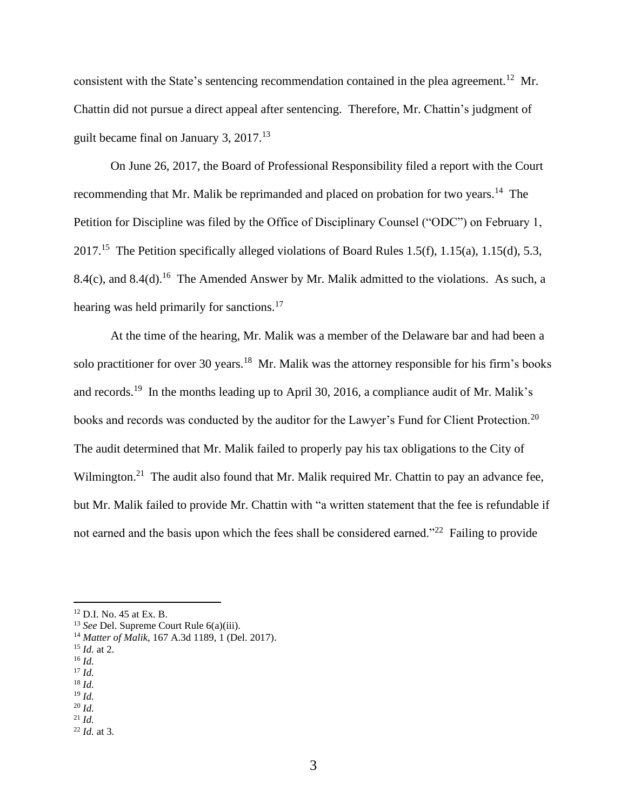consistent with the State's sentencing recommendation contained in the plea agreement.<sup>12</sup> Mr. Chattin did not pursue a direct appeal after sentencing. Therefore, Mr. Chattin's judgment of guilt became final on January 3, 2017.<sup>13</sup>

On June 26, 2017, the Board of Professional Responsibility filed a report with the Court recommending that Mr. Malik be reprimanded and placed on probation for two years.<sup>14</sup> The Petition for Discipline was filed by the Office of Disciplinary Counsel ("ODC") on February 1, 2017.<sup>15</sup> The Petition specifically alleged violations of Board Rules 1.5(f), 1.15(a), 1.15(d), 5.3, 8.4(c), and 8.4(d).<sup>16</sup> The Amended Answer by Mr. Malik admitted to the violations. As such, a hearing was held primarily for sanctions.<sup>17</sup>

At the time of the hearing, Mr. Malik was a member of the Delaware bar and had been a solo practitioner for over 30 years.<sup>18</sup> Mr. Malik was the attorney responsible for his firm's books and records.<sup>19</sup> In the months leading up to April 30, 2016, a compliance audit of Mr. Malik's books and records was conducted by the auditor for the Lawyer's Fund for Client Protection.<sup>20</sup> The audit determined that Mr. Malik failed to properly pay his tax obligations to the City of Wilmington.<sup>21</sup> The audit also found that Mr. Malik required Mr. Chattin to pay an advance fee, but Mr. Malik failed to provide Mr. Chattin with "a written statement that the fee is refundable if not earned and the basis upon which the fees shall be considered earned."<sup>22</sup> Failing to provide

- <sup>17</sup> *Id.*
- <sup>18</sup> *Id.*
- <sup>19</sup> *Id.*

<sup>21</sup> *Id.*

<sup>12</sup> D.I. No. 45 at Ex. B.

<sup>13</sup> *See* Del. Supreme Court Rule 6(a)(iii).

<sup>14</sup> *Matter of Malik*, 167 A.3d 1189, 1 (Del. 2017).

<sup>15</sup> *Id.* at 2.

<sup>16</sup> *Id.*

<sup>20</sup> *Id.*

<sup>22</sup> *Id.* at 3.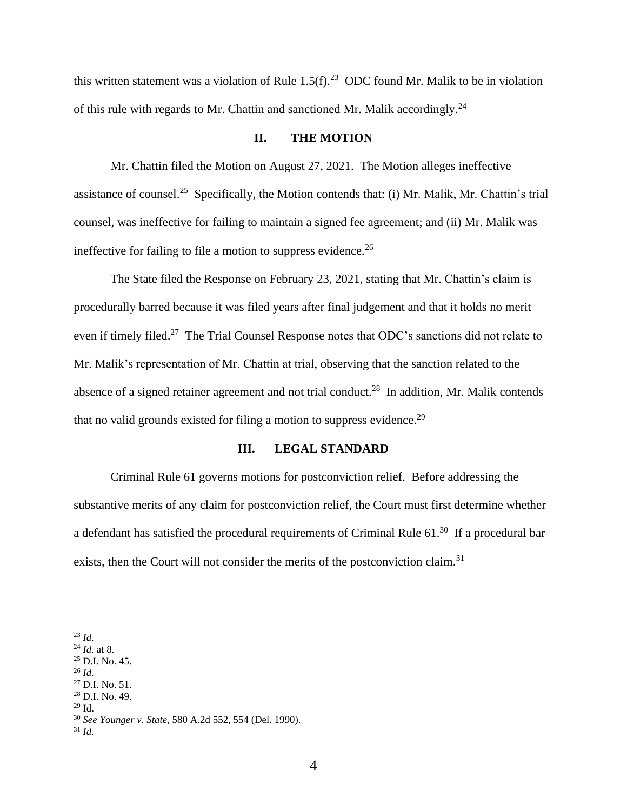this written statement was a violation of Rule  $1.5(f)$ .<sup>23</sup> ODC found Mr. Malik to be in violation of this rule with regards to Mr. Chattin and sanctioned Mr. Malik accordingly.<sup>24</sup>

#### **II. THE MOTION**

Mr. Chattin filed the Motion on August 27, 2021. The Motion alleges ineffective assistance of counsel.<sup>25</sup> Specifically, the Motion contends that: (i) Mr. Malik, Mr. Chattin's trial counsel, was ineffective for failing to maintain a signed fee agreement; and (ii) Mr. Malik was ineffective for failing to file a motion to suppress evidence.<sup>26</sup>

The State filed the Response on February 23, 2021, stating that Mr. Chattin's claim is procedurally barred because it was filed years after final judgement and that it holds no merit even if timely filed.<sup>27</sup> The Trial Counsel Response notes that ODC's sanctions did not relate to Mr. Malik's representation of Mr. Chattin at trial, observing that the sanction related to the absence of a signed retainer agreement and not trial conduct.<sup>28</sup> In addition, Mr. Malik contends that no valid grounds existed for filing a motion to suppress evidence.<sup>29</sup>

#### **III. LEGAL STANDARD**

Criminal Rule 61 governs motions for postconviction relief. Before addressing the substantive merits of any claim for postconviction relief, the Court must first determine whether a defendant has satisfied the procedural requirements of Criminal Rule  $61.^{30}$  If a procedural bar exists, then the Court will not consider the merits of the postconviction claim.<sup>31</sup>

- <sup>26</sup> *Id.*
- <sup>27</sup> D.I. No. 51.

<sup>23</sup> *Id.*

<sup>24</sup> *Id.* at 8.

 $^{25}$  D.I. No. 45.

 $28$  D.I. No. 49.

<sup>29</sup> Id.

<sup>30</sup> *See Younger v. State,* 580 A.2d 552, 554 (Del. 1990).

<sup>31</sup> *Id.*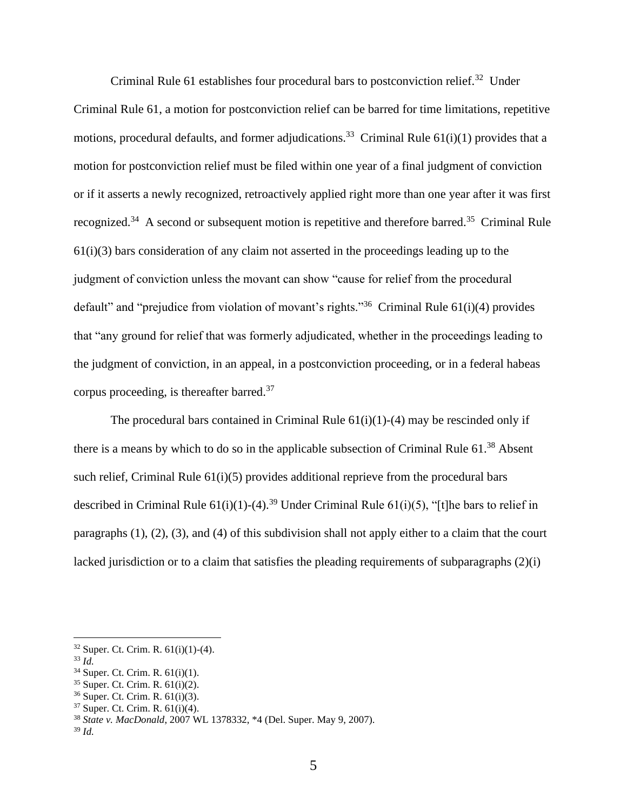Criminal Rule 61 establishes four procedural bars to postconviction relief.<sup>32</sup> Under Criminal Rule 61, a motion for postconviction relief can be barred for time limitations, repetitive motions, procedural defaults, and former adjudications.<sup>33</sup> Criminal Rule  $61(i)(1)$  provides that a motion for postconviction relief must be filed within one year of a final judgment of conviction or if it asserts a newly recognized, retroactively applied right more than one year after it was first recognized.<sup>34</sup> A second or subsequent motion is repetitive and therefore barred.<sup>35</sup> Criminal Rule  $61(i)(3)$  bars consideration of any claim not asserted in the proceedings leading up to the judgment of conviction unless the movant can show "cause for relief from the procedural default" and "prejudice from violation of movant's rights."<sup>36</sup> Criminal Rule  $61(i)(4)$  provides that "any ground for relief that was formerly adjudicated, whether in the proceedings leading to the judgment of conviction, in an appeal, in a postconviction proceeding, or in a federal habeas corpus proceeding, is thereafter barred. $37$ 

The procedural bars contained in Criminal Rule  $61(i)(1)-(4)$  may be rescinded only if there is a means by which to do so in the applicable subsection of Criminal Rule 61.<sup>38</sup> Absent such relief, Criminal Rule 61(i)(5) provides additional reprieve from the procedural bars described in Criminal Rule  $61(i)(1)-(4)$ .<sup>39</sup> Under Criminal Rule  $61(i)(5)$ , "[t]he bars to relief in paragraphs (1), (2), (3), and (4) of this subdivision shall not apply either to a claim that the court lacked jurisdiction or to a claim that satisfies the pleading requirements of subparagraphs (2)(i)

 $32$  Super. Ct. Crim. R.  $61(i)(1)-(4)$ .

<sup>33</sup> *Id.*

<sup>34</sup> Super. Ct. Crim. R. 61(i)(1).

<sup>35</sup> Super. Ct. Crim. R. 61(i)(2).

<sup>36</sup> Super. Ct. Crim. R. 61(i)(3).

<sup>37</sup> Super. Ct. Crim. R. 61(i)(4).

<sup>38</sup> *State v. MacDonald*, 2007 WL 1378332, \*4 (Del. Super. May 9, 2007).

<sup>39</sup> *Id.*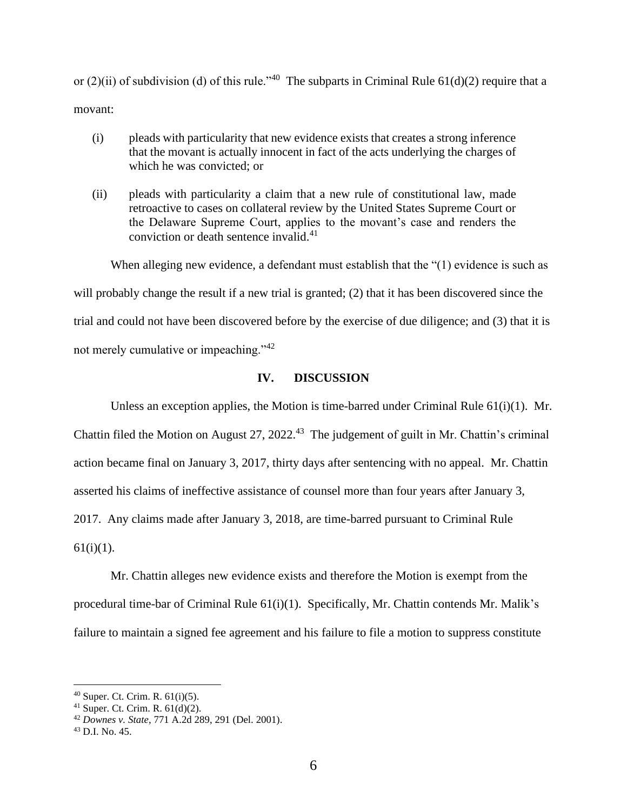or  $(2)(ii)$  of subdivision (d) of this rule."<sup>40</sup> The subparts in Criminal Rule 61(d)(2) require that a movant:

- (i) pleads with particularity that new evidence exists that creates a strong inference that the movant is actually innocent in fact of the acts underlying the charges of which he was convicted; or
- (ii) pleads with particularity a claim that a new rule of constitutional law, made retroactive to cases on collateral review by the United States Supreme Court or the Delaware Supreme Court, applies to the movant's case and renders the conviction or death sentence invalid.<sup>41</sup>

When alleging new evidence, a defendant must establish that the "(1) evidence is such as will probably change the result if a new trial is granted; (2) that it has been discovered since the trial and could not have been discovered before by the exercise of due diligence; and (3) that it is not merely cumulative or impeaching."<sup>42</sup>

### **IV. DISCUSSION**

Unless an exception applies, the Motion is time-barred under Criminal Rule  $61(i)(1)$ . Mr. Chattin filed the Motion on August 27, 2022.<sup>43</sup> The judgement of guilt in Mr. Chattin's criminal action became final on January 3, 2017, thirty days after sentencing with no appeal. Mr. Chattin asserted his claims of ineffective assistance of counsel more than four years after January 3, 2017. Any claims made after January 3, 2018, are time-barred pursuant to Criminal Rule  $61(i)(1)$ .

Mr. Chattin alleges new evidence exists and therefore the Motion is exempt from the procedural time-bar of Criminal Rule 61(i)(1). Specifically, Mr. Chattin contends Mr. Malik's failure to maintain a signed fee agreement and his failure to file a motion to suppress constitute

 $40$  Super. Ct. Crim. R.  $61(i)(5)$ .

<sup>&</sup>lt;sup>41</sup> Super. Ct. Crim. R.  $61(d)(2)$ .

<sup>42</sup> *Downes v. State*, 771 A.2d 289, 291 (Del. 2001).

<sup>43</sup> D.I. No. 45.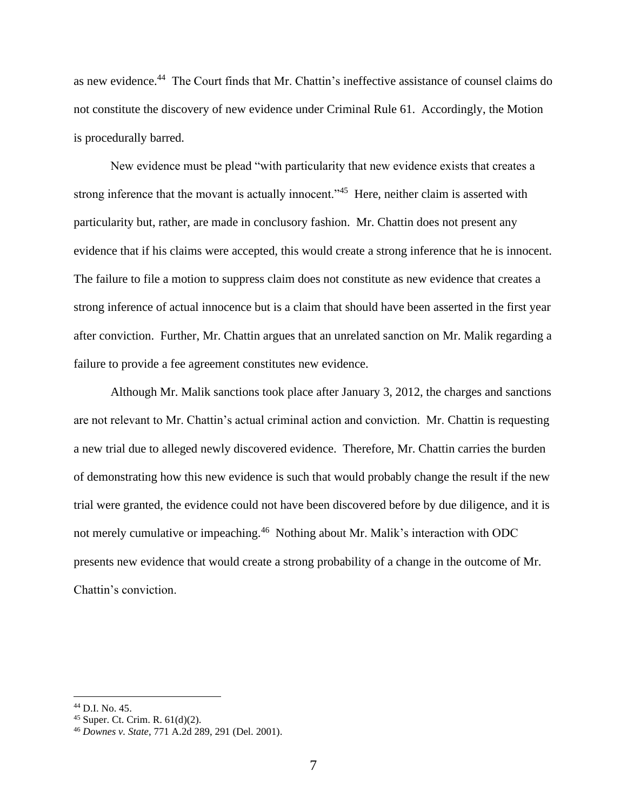as new evidence.<sup>44</sup> The Court finds that Mr. Chattin's ineffective assistance of counsel claims do not constitute the discovery of new evidence under Criminal Rule 61. Accordingly, the Motion is procedurally barred.

New evidence must be plead "with particularity that new evidence exists that creates a strong inference that the movant is actually innocent."<sup>45</sup> Here, neither claim is asserted with particularity but, rather, are made in conclusory fashion. Mr. Chattin does not present any evidence that if his claims were accepted, this would create a strong inference that he is innocent. The failure to file a motion to suppress claim does not constitute as new evidence that creates a strong inference of actual innocence but is a claim that should have been asserted in the first year after conviction. Further, Mr. Chattin argues that an unrelated sanction on Mr. Malik regarding a failure to provide a fee agreement constitutes new evidence.

Although Mr. Malik sanctions took place after January 3, 2012, the charges and sanctions are not relevant to Mr. Chattin's actual criminal action and conviction. Mr. Chattin is requesting a new trial due to alleged newly discovered evidence. Therefore, Mr. Chattin carries the burden of demonstrating how this new evidence is such that would probably change the result if the new trial were granted, the evidence could not have been discovered before by due diligence, and it is not merely cumulative or impeaching.<sup>46</sup> Nothing about Mr. Malik's interaction with ODC presents new evidence that would create a strong probability of a change in the outcome of Mr. Chattin's conviction.

<sup>44</sup> D.I. No. 45.

<sup>45</sup> Super. Ct. Crim. R. 61(d)(2).

<sup>46</sup> *Downes v. State*, 771 A.2d 289, 291 (Del. 2001).